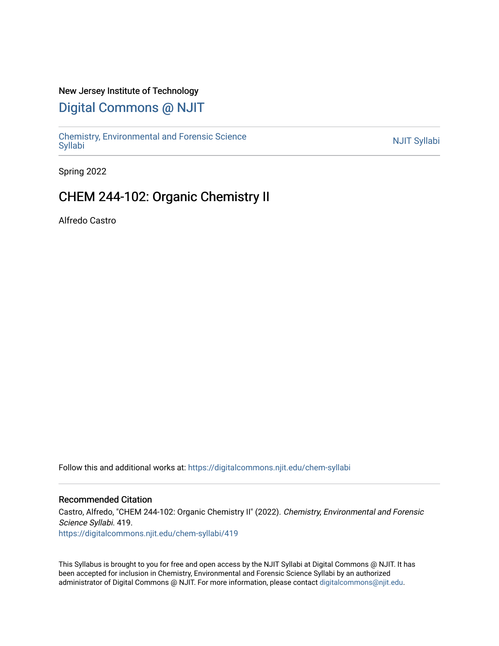#### New Jersey Institute of Technology

# [Digital Commons @ NJIT](https://digitalcommons.njit.edu/)

Chemistry, Environmental and Forensic Science<br>Syllabi

Spring 2022

## CHEM 244-102: Organic Chemistry II

Alfredo Castro

Follow this and additional works at: [https://digitalcommons.njit.edu/chem-syllabi](https://digitalcommons.njit.edu/chem-syllabi?utm_source=digitalcommons.njit.edu%2Fchem-syllabi%2F419&utm_medium=PDF&utm_campaign=PDFCoverPages) 

#### Recommended Citation

Castro, Alfredo, "CHEM 244-102: Organic Chemistry II" (2022). Chemistry, Environmental and Forensic Science Syllabi. 419. [https://digitalcommons.njit.edu/chem-syllabi/419](https://digitalcommons.njit.edu/chem-syllabi/419?utm_source=digitalcommons.njit.edu%2Fchem-syllabi%2F419&utm_medium=PDF&utm_campaign=PDFCoverPages) 

This Syllabus is brought to you for free and open access by the NJIT Syllabi at Digital Commons @ NJIT. It has been accepted for inclusion in Chemistry, Environmental and Forensic Science Syllabi by an authorized administrator of Digital Commons @ NJIT. For more information, please contact [digitalcommons@njit.edu.](mailto:digitalcommons@njit.edu)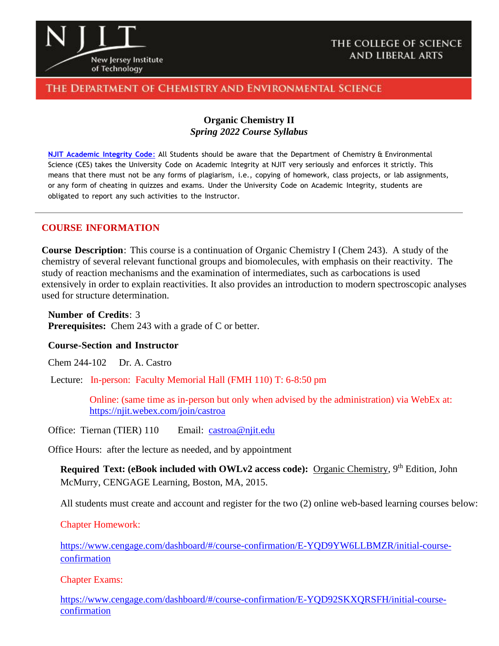

#### THE COLLEGE OF SCIENCE **AND LIBERAL ARTS**

### THE DEPARTMENT OF CHEMISTRY AND ENVIRONMENTAL SCIENCE

#### **Organic Chemistry II** *Spring 2022 Course Syllabus*

**NJIT [Academic](https://www.njit.edu/policies/sites/policies/files/academic-integrity-code.pdf) Integrity Code**: All Students should be aware that the Department of Chemistry & Environmental Science (CES) takes the University Code on Academic Integrity at NJIT very seriously and enforces it strictly. This means that there must not be any forms of plagiarism, i.e., copying of homework, class projects, or lab assignments, or any form of cheating in quizzes and exams. Under the University Code on Academic Integrity, students are obligated to report any such activities to the Instructor.

#### **COURSE INFORMATION**

**Course Description**: This course is a continuation of Organic Chemistry I (Chem 243). A study of the chemistry of several relevant functional groups and biomolecules, with emphasis on their reactivity. The study of reaction mechanisms and the examination of intermediates, such as carbocations is used extensively in order to explain reactivities. It also provides an introduction to modern spectroscopic analyses used for structure determination.

**Number of Credits**: 3 **Prerequisites:** Chem 243 with a grade of C or better.

#### **Course-Section and Instructor**

Chem 244-102 Dr. A. Castro

Lecture: In-person: Faculty Memorial Hall (FMH 110) T: 6-8:50 pm

Online: (same time as in-person but only when advised by the administration) via WebEx at: <https://njit.webex.com/join/castroa>

Office: Tiernan (TIER) 110 Email: [castroa@njit.edu](mailto:castroa@njit.edu)

Office Hours: after the lecture as needed, and by appointment

**Required Text: (eBook included with OWLv2 access code):** Organic Chemistry, 9<sup>th</sup> Edition, John McMurry, CENGAGE Learning, Boston, MA, 2015.

All students must create and account and register for the two (2) online web-based learning courses below:

Chapter Homework:

[https://www.cengage.com/dashboard/#/course-confirmation/E-YQD9YW6LLBMZR/initial-course](https://www.cengage.com/dashboard/#/course-confirmation/E-YQD9YW6LLBMZR/initial-course-confirmation)[confirmation](https://www.cengage.com/dashboard/#/course-confirmation/E-YQD9YW6LLBMZR/initial-course-confirmation)

Chapter Exams:

[https://www.cengage.com/dashboard/#/course-confirmation/E-YQD92SKXQRSFH/initial-course](https://www.cengage.com/dashboard/#/course-confirmation/E-YQD92SKXQRSFH/initial-course-confirmation)[confirmation](https://www.cengage.com/dashboard/#/course-confirmation/E-YQD92SKXQRSFH/initial-course-confirmation)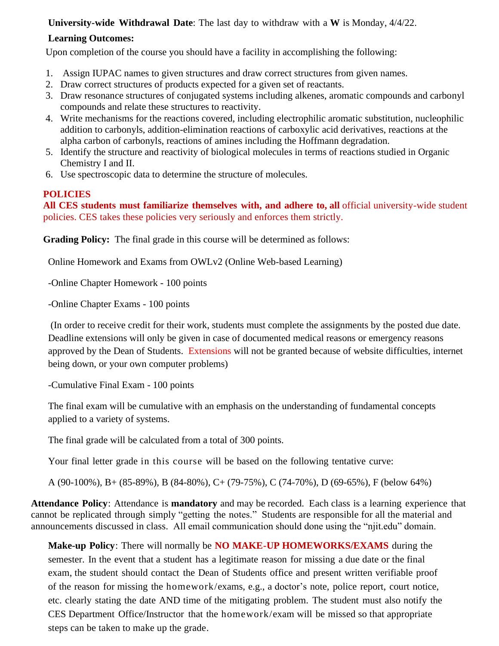### **University-wide Withdrawal Date**: The last day to withdraw with a **W** is Monday, 4/4/22.

## **Learning Outcomes:**

Upon completion of the course you should have a facility in accomplishing the following:

- 1. Assign IUPAC names to given structures and draw correct structures from given names.
- 2. Draw correct structures of products expected for a given set of reactants.
- 3. Draw resonance structures of conjugated systems including alkenes, aromatic compounds and carbonyl compounds and relate these structures to reactivity.
- 4. Write mechanisms for the reactions covered, including electrophilic aromatic substitution, nucleophilic addition to carbonyls, addition-elimination reactions of carboxylic acid derivatives, reactions at the alpha carbon of carbonyls, reactions of amines including the Hoffmann degradation.
- 5. Identify the structure and reactivity of biological molecules in terms of reactions studied in Organic Chemistry I and II.
- 6. Use spectroscopic data to determine the structure of molecules.

## **POLICIES**

**All CES students must familiarize themselves with, and adhere to, all** official university-wide student policies. CES takes these policies very seriously and enforces them strictly.

**Grading Policy:** The final grade in this course will be determined as follows:

Online Homework and Exams from OWLv2 (Online Web-based Learning)

-Online Chapter Homework - 100 points

-Online Chapter Exams - 100 points

(In order to receive credit for their work, students must complete the assignments by the posted due date. Deadline extensions will only be given in case of documented medical reasons or emergency reasons approved by the Dean of Students. Extensions will not be granted because of website difficulties, internet being down, or your own computer problems)

-Cumulative Final Exam - 100 points

The final exam will be cumulative with an emphasis on the understanding of fundamental concepts applied to a variety of systems.

The final grade will be calculated from a total of 300 points.

Your final letter grade in this course will be based on the following tentative curve:

A (90-100%), B+ (85-89%), B (84-80%), C+ (79-75%), C (74-70%), D (69-65%), F (below 64%)

**Attendance Policy**: Attendance is **mandatory** and may be recorded. Each class is a learning experience that cannot be replicated through simply "getting the notes." Students are responsible for all the material and announcements discussed in class. All email communication should done using the "njit.edu" domain.

**Make-up Policy**: There will normally be **NO MAKE-UP HOMEWORKS/EXAMS** during the semester. In the event that a student has a legitimate reason for missing a due date or the final exam, the student should contact the Dean of Students office and present written verifiable proof of the reason for missing the homework/exams, e.g., a doctor's note, police report, court notice, etc. clearly stating the date AND time of the mitigating problem. The student must also notify the CES Department Office/Instructor that the homework/exam will be missed so that appropriate steps can be taken to make up the grade.